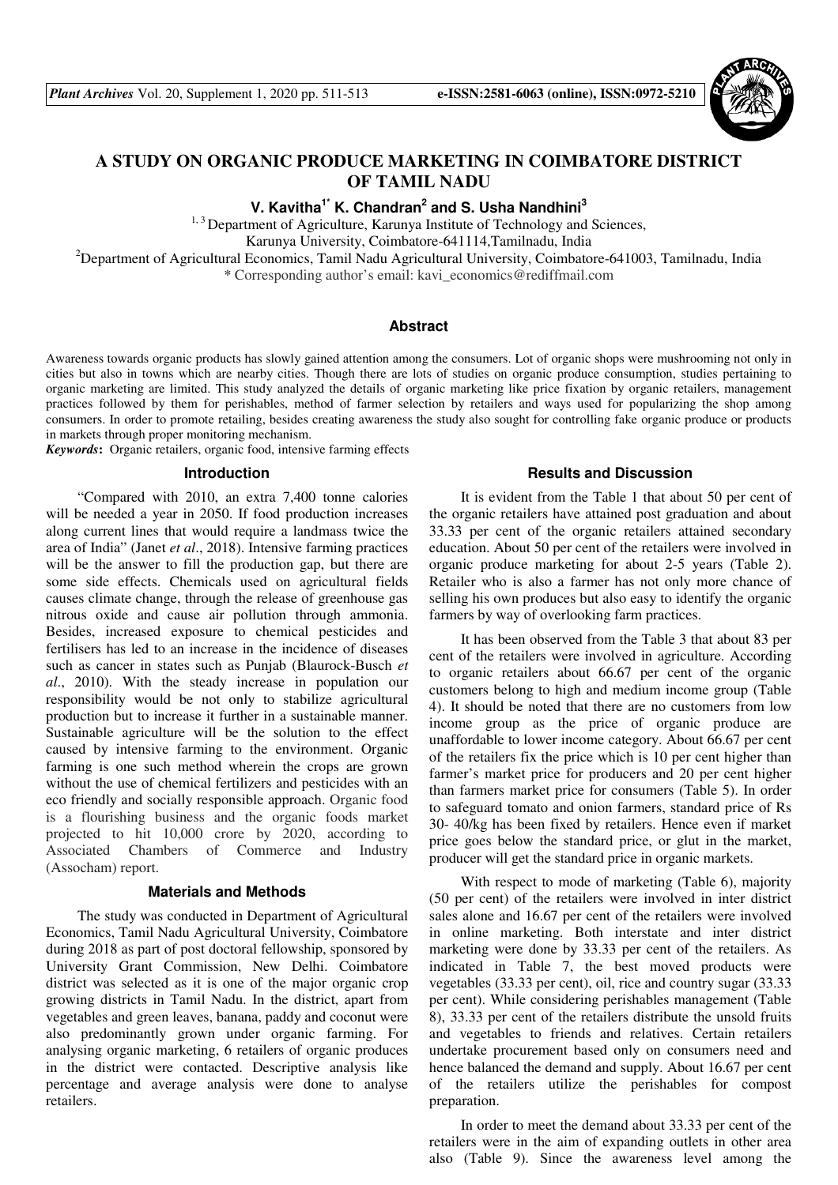

# **A STUDY ON ORGANIC PRODUCE MARKETING IN COIMBATORE DISTRICT OF TAMIL NADU**

**V. Kavitha1\* K. Chandran<sup>2</sup> and S. Usha Nandhini<sup>3</sup>**

<sup>1, 3</sup> Department of Agriculture, Karunya Institute of Technology and Sciences, Karunya University, Coimbatore-641114,Tamilnadu, India

<sup>2</sup>Department of Agricultural Economics, Tamil Nadu Agricultural University, Coimbatore-641003, Tamilnadu, India

\* Corresponding author's email: kavi\_economics@rediffmail.com

## **Abstract**

Awareness towards organic products has slowly gained attention among the consumers. Lot of organic shops were mushrooming not only in cities but also in towns which are nearby cities. Though there are lots of studies on organic produce consumption, studies pertaining to organic marketing are limited. This study analyzed the details of organic marketing like price fixation by organic retailers, management practices followed by them for perishables, method of farmer selection by retailers and ways used for popularizing the shop among consumers. In order to promote retailing, besides creating awareness the study also sought for controlling fake organic produce or products in markets through proper monitoring mechanism.

*Keywords***:** Organic retailers, organic food, intensive farming effects

#### **Introduction**

"Compared with 2010, an extra 7,400 tonne calories will be needed a year in 2050. If food production increases along current lines that would require a landmass twice the area of India" (Janet *et al*., 2018). Intensive farming practices will be the answer to fill the production gap, but there are some side effects. Chemicals used on agricultural fields causes climate change, through the release of greenhouse gas nitrous oxide and cause air pollution through ammonia. Besides, increased exposure to chemical pesticides and fertilisers has led to an increase in the incidence of diseases such as cancer in states such as Punjab (Blaurock-Busch *et al*., 2010). With the steady increase in population our responsibility would be not only to stabilize agricultural production but to increase it further in a sustainable manner. Sustainable agriculture will be the solution to the effect caused by intensive farming to the environment. Organic farming is one such method wherein the crops are grown without the use of chemical fertilizers and pesticides with an eco friendly and socially responsible approach. Organic food is a flourishing business and the organic foods market projected to hit 10,000 crore by 2020, according to Associated Chambers of Commerce and Industry (Assocham) report.

#### **Materials and Methods**

The study was conducted in Department of Agricultural Economics, Tamil Nadu Agricultural University, Coimbatore during 2018 as part of post doctoral fellowship, sponsored by University Grant Commission, New Delhi. Coimbatore district was selected as it is one of the major organic crop growing districts in Tamil Nadu. In the district, apart from vegetables and green leaves, banana, paddy and coconut were also predominantly grown under organic farming. For analysing organic marketing, 6 retailers of organic produces in the district were contacted. Descriptive analysis like percentage and average analysis were done to analyse retailers.

#### **Results and Discussion**

It is evident from the Table 1 that about 50 per cent of the organic retailers have attained post graduation and about 33.33 per cent of the organic retailers attained secondary education. About 50 per cent of the retailers were involved in organic produce marketing for about 2-5 years (Table 2). Retailer who is also a farmer has not only more chance of selling his own produces but also easy to identify the organic farmers by way of overlooking farm practices.

It has been observed from the Table 3 that about 83 per cent of the retailers were involved in agriculture. According to organic retailers about 66.67 per cent of the organic customers belong to high and medium income group (Table 4). It should be noted that there are no customers from low income group as the price of organic produce are unaffordable to lower income category. About 66.67 per cent of the retailers fix the price which is 10 per cent higher than farmer's market price for producers and 20 per cent higher than farmers market price for consumers (Table 5). In order to safeguard tomato and onion farmers, standard price of Rs 30- 40/kg has been fixed by retailers. Hence even if market price goes below the standard price, or glut in the market, producer will get the standard price in organic markets.

With respect to mode of marketing (Table 6), majority (50 per cent) of the retailers were involved in inter district sales alone and 16.67 per cent of the retailers were involved in online marketing. Both interstate and inter district marketing were done by 33.33 per cent of the retailers. As indicated in Table 7, the best moved products were vegetables (33.33 per cent), oil, rice and country sugar (33.33 per cent). While considering perishables management (Table 8), 33.33 per cent of the retailers distribute the unsold fruits and vegetables to friends and relatives. Certain retailers undertake procurement based only on consumers need and hence balanced the demand and supply. About 16.67 per cent of the retailers utilize the perishables for compost preparation.

In order to meet the demand about 33.33 per cent of the retailers were in the aim of expanding outlets in other area also (Table 9). Since the awareness level among the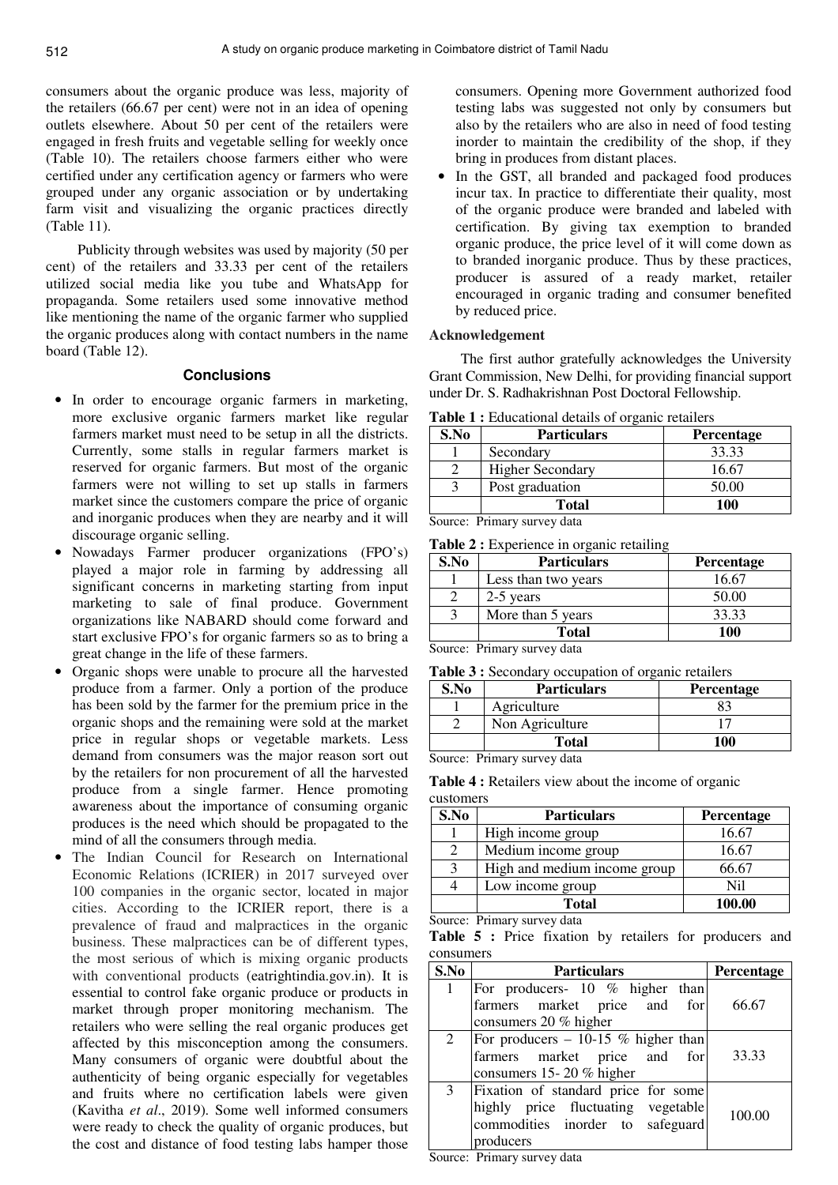consumers about the organic produce was less, majority of the retailers (66.67 per cent) were not in an idea of opening outlets elsewhere. About 50 per cent of the retailers were engaged in fresh fruits and vegetable selling for weekly once (Table 10). The retailers choose farmers either who were certified under any certification agency or farmers who were grouped under any organic association or by undertaking farm visit and visualizing the organic practices directly (Table 11).

Publicity through websites was used by majority (50 per cent) of the retailers and 33.33 per cent of the retailers utilized social media like you tube and WhatsApp for propaganda. Some retailers used some innovative method like mentioning the name of the organic farmer who supplied the organic produces along with contact numbers in the name board (Table 12).

#### **Conclusions**

- In order to encourage organic farmers in marketing, more exclusive organic farmers market like regular farmers market must need to be setup in all the districts. Currently, some stalls in regular farmers market is reserved for organic farmers. But most of the organic farmers were not willing to set up stalls in farmers market since the customers compare the price of organic and inorganic produces when they are nearby and it will discourage organic selling.
- Nowadays Farmer producer organizations (FPO's) played a major role in farming by addressing all significant concerns in marketing starting from input marketing to sale of final produce. Government organizations like NABARD should come forward and start exclusive FPO's for organic farmers so as to bring a great change in the life of these farmers.
- Organic shops were unable to procure all the harvested produce from a farmer. Only a portion of the produce has been sold by the farmer for the premium price in the organic shops and the remaining were sold at the market price in regular shops or vegetable markets. Less demand from consumers was the major reason sort out by the retailers for non procurement of all the harvested produce from a single farmer. Hence promoting awareness about the importance of consuming organic produces is the need which should be propagated to the mind of all the consumers through media.
- The Indian Council for Research on International Economic Relations (ICRIER) in 2017 surveyed over 100 companies in the organic sector, located in major cities. According to the ICRIER report, there is a prevalence of fraud and malpractices in the organic business. These malpractices can be of different types, the most serious of which is mixing organic products with conventional products (eatrightindia.gov.in). It is essential to control fake organic produce or products in market through proper monitoring mechanism. The retailers who were selling the real organic produces get affected by this misconception among the consumers. Many consumers of organic were doubtful about the authenticity of being organic especially for vegetables and fruits where no certification labels were given (Kavitha *et al*., 2019). Some well informed consumers were ready to check the quality of organic produces, but the cost and distance of food testing labs hamper those

consumers. Opening more Government authorized food testing labs was suggested not only by consumers but also by the retailers who are also in need of food testing inorder to maintain the credibility of the shop, if they bring in produces from distant places.

• In the GST, all branded and packaged food produces incur tax. In practice to differentiate their quality, most of the organic produce were branded and labeled with certification. By giving tax exemption to branded organic produce, the price level of it will come down as to branded inorganic produce. Thus by these practices, producer is assured of a ready market, retailer encouraged in organic trading and consumer benefited by reduced price.

## **Acknowledgement**

The first author gratefully acknowledges the University Grant Commission, New Delhi, for providing financial support under Dr. S. Radhakrishnan Post Doctoral Fellowship.

**Table 1 :** Educational details of organic retailers

| S.No | <b>Particulars</b>      | <b>Percentage</b> |
|------|-------------------------|-------------------|
|      | Secondary               | 33.33             |
|      | <b>Higher Secondary</b> | 16.67             |
|      | Post graduation         | 50.00             |
|      | <b>Total</b>            | 100               |

Source: Primary survey data

Table 2 : Experience in organic retailing

| S.No | <b>Particulars</b>  | <b>Percentage</b> |
|------|---------------------|-------------------|
|      | Less than two years | 16.67             |
|      | 2-5 years           | 50.00             |
|      | More than 5 years   | 33.33             |
|      | <b>Total</b>        | 100               |

Source: Primary survey data

**Table 3 :** Secondary occupation of organic retailers

| S.No | <b>Particulars</b> | <b>Percentage</b> |
|------|--------------------|-------------------|
|      | Agriculture        |                   |
|      | Non Agriculture    |                   |
|      | <b>Total</b>       | 100               |

Source: Primary survey data

| <b>Table 4 :</b> Retailers view about the income of organic |  |  |  |  |
|-------------------------------------------------------------|--|--|--|--|
| customers                                                   |  |  |  |  |

| S.No | <b>Particulars</b>           | Percentage |
|------|------------------------------|------------|
|      | High income group            | 16.67      |
|      | Medium income group          | 16.67      |
| 3    | High and medium income group | 66.67      |
|      | Low income group             | Nil        |
|      | <b>Total</b>                 | 100.00     |

Source: Primary survey data

Table 5 : Price fixation by retailers for producers and consumers

| S.No | <b>Particulars</b>                                                                                                         | <b>Percentage</b> |
|------|----------------------------------------------------------------------------------------------------------------------------|-------------------|
|      | For producers- 10 % higher than<br>farmers market price and for<br>consumers 20 % higher                                   | 66.67             |
| 2    | For producers $-10-15$ % higher than<br>farmers market price and for<br>consumers 15-20 % higher                           | 33.33             |
| 3    | Fixation of standard price for some<br>highly price fluctuating vegetable<br>commodities inorder to safeguard<br>producers | 100.00            |

Source: Primary survey data